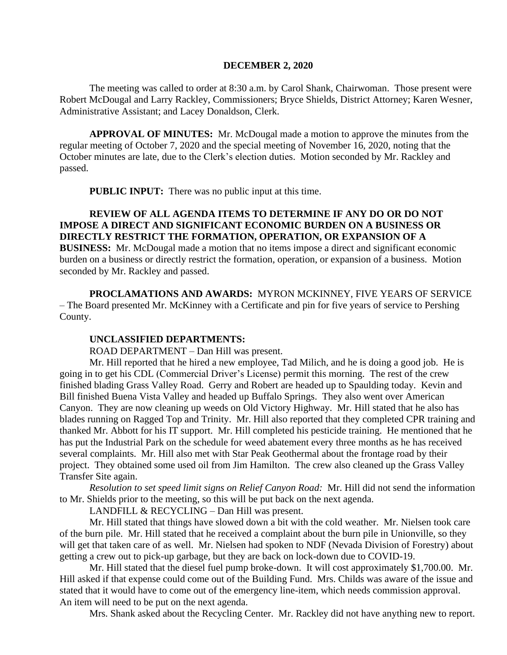## **DECEMBER 2, 2020**

The meeting was called to order at 8:30 a.m. by Carol Shank, Chairwoman. Those present were Robert McDougal and Larry Rackley, Commissioners; Bryce Shields, District Attorney; Karen Wesner, Administrative Assistant; and Lacey Donaldson, Clerk.

**APPROVAL OF MINUTES:** Mr. McDougal made a motion to approve the minutes from the regular meeting of October 7, 2020 and the special meeting of November 16, 2020, noting that the October minutes are late, due to the Clerk's election duties. Motion seconded by Mr. Rackley and passed.

**PUBLIC INPUT:** There was no public input at this time.

**REVIEW OF ALL AGENDA ITEMS TO DETERMINE IF ANY DO OR DO NOT IMPOSE A DIRECT AND SIGNIFICANT ECONOMIC BURDEN ON A BUSINESS OR DIRECTLY RESTRICT THE FORMATION, OPERATION, OR EXPANSION OF A BUSINESS:** Mr. McDougal made a motion that no items impose a direct and significant economic burden on a business or directly restrict the formation, operation, or expansion of a business. Motion seconded by Mr. Rackley and passed.

**PROCLAMATIONS AND AWARDS:** MYRON MCKINNEY, FIVE YEARS OF SERVICE – The Board presented Mr. McKinney with a Certificate and pin for five years of service to Pershing County.

## **UNCLASSIFIED DEPARTMENTS:**

ROAD DEPARTMENT – Dan Hill was present.

Mr. Hill reported that he hired a new employee, Tad Milich, and he is doing a good job. He is going in to get his CDL (Commercial Driver's License) permit this morning. The rest of the crew finished blading Grass Valley Road. Gerry and Robert are headed up to Spaulding today. Kevin and Bill finished Buena Vista Valley and headed up Buffalo Springs. They also went over American Canyon. They are now cleaning up weeds on Old Victory Highway. Mr. Hill stated that he also has blades running on Ragged Top and Trinity. Mr. Hill also reported that they completed CPR training and thanked Mr. Abbott for his IT support. Mr. Hill completed his pesticide training. He mentioned that he has put the Industrial Park on the schedule for weed abatement every three months as he has received several complaints. Mr. Hill also met with Star Peak Geothermal about the frontage road by their project. They obtained some used oil from Jim Hamilton. The crew also cleaned up the Grass Valley Transfer Site again.

*Resolution to set speed limit signs on Relief Canyon Road:* Mr. Hill did not send the information to Mr. Shields prior to the meeting, so this will be put back on the next agenda.

LANDFILL & RECYCLING – Dan Hill was present.

Mr. Hill stated that things have slowed down a bit with the cold weather. Mr. Nielsen took care of the burn pile. Mr. Hill stated that he received a complaint about the burn pile in Unionville, so they will get that taken care of as well. Mr. Nielsen had spoken to NDF (Nevada Division of Forestry) about getting a crew out to pick-up garbage, but they are back on lock-down due to COVID-19.

Mr. Hill stated that the diesel fuel pump broke-down. It will cost approximately \$1,700.00. Mr. Hill asked if that expense could come out of the Building Fund. Mrs. Childs was aware of the issue and stated that it would have to come out of the emergency line-item, which needs commission approval. An item will need to be put on the next agenda.

Mrs. Shank asked about the Recycling Center. Mr. Rackley did not have anything new to report.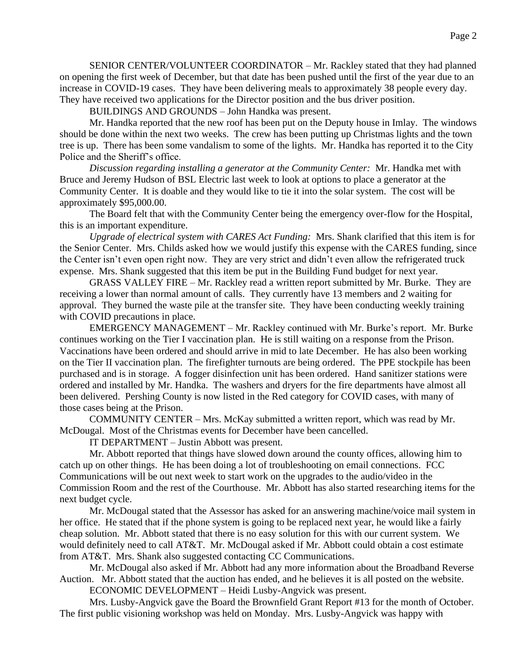SENIOR CENTER/VOLUNTEER COORDINATOR – Mr. Rackley stated that they had planned on opening the first week of December, but that date has been pushed until the first of the year due to an increase in COVID-19 cases. They have been delivering meals to approximately 38 people every day. They have received two applications for the Director position and the bus driver position.

BUILDINGS AND GROUNDS – John Handka was present.

Mr. Handka reported that the new roof has been put on the Deputy house in Imlay. The windows should be done within the next two weeks. The crew has been putting up Christmas lights and the town tree is up. There has been some vandalism to some of the lights. Mr. Handka has reported it to the City Police and the Sheriff's office.

*Discussion regarding installing a generator at the Community Center:* Mr. Handka met with Bruce and Jeremy Hudson of BSL Electric last week to look at options to place a generator at the Community Center. It is doable and they would like to tie it into the solar system. The cost will be approximately \$95,000.00.

The Board felt that with the Community Center being the emergency over-flow for the Hospital, this is an important expenditure.

*Upgrade of electrical system with CARES Act Funding:* Mrs. Shank clarified that this item is for the Senior Center. Mrs. Childs asked how we would justify this expense with the CARES funding, since the Center isn't even open right now. They are very strict and didn't even allow the refrigerated truck expense. Mrs. Shank suggested that this item be put in the Building Fund budget for next year.

GRASS VALLEY FIRE – Mr. Rackley read a written report submitted by Mr. Burke. They are receiving a lower than normal amount of calls. They currently have 13 members and 2 waiting for approval. They burned the waste pile at the transfer site. They have been conducting weekly training with COVID precautions in place.

EMERGENCY MANAGEMENT – Mr. Rackley continued with Mr. Burke's report. Mr. Burke continues working on the Tier I vaccination plan. He is still waiting on a response from the Prison. Vaccinations have been ordered and should arrive in mid to late December. He has also been working on the Tier II vaccination plan. The firefighter turnouts are being ordered. The PPE stockpile has been purchased and is in storage. A fogger disinfection unit has been ordered. Hand sanitizer stations were ordered and installed by Mr. Handka. The washers and dryers for the fire departments have almost all been delivered. Pershing County is now listed in the Red category for COVID cases, with many of those cases being at the Prison.

COMMUNITY CENTER – Mrs. McKay submitted a written report, which was read by Mr. McDougal. Most of the Christmas events for December have been cancelled.

IT DEPARTMENT – Justin Abbott was present.

Mr. Abbott reported that things have slowed down around the county offices, allowing him to catch up on other things. He has been doing a lot of troubleshooting on email connections. FCC Communications will be out next week to start work on the upgrades to the audio/video in the Commission Room and the rest of the Courthouse. Mr. Abbott has also started researching items for the next budget cycle.

Mr. McDougal stated that the Assessor has asked for an answering machine/voice mail system in her office. He stated that if the phone system is going to be replaced next year, he would like a fairly cheap solution. Mr. Abbott stated that there is no easy solution for this with our current system. We would definitely need to call AT&T. Mr. McDougal asked if Mr. Abbott could obtain a cost estimate from AT&T. Mrs. Shank also suggested contacting CC Communications.

Mr. McDougal also asked if Mr. Abbott had any more information about the Broadband Reverse Auction. Mr. Abbott stated that the auction has ended, and he believes it is all posted on the website.

ECONOMIC DEVELOPMENT – Heidi Lusby-Angvick was present.

Mrs. Lusby-Angvick gave the Board the Brownfield Grant Report #13 for the month of October. The first public visioning workshop was held on Monday. Mrs. Lusby-Angvick was happy with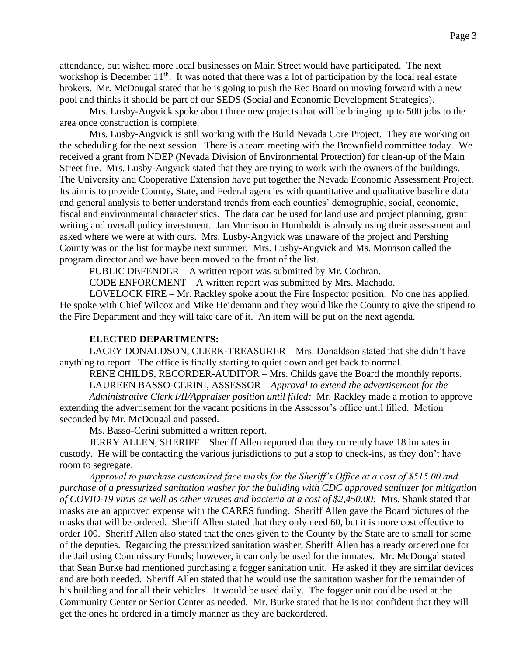attendance, but wished more local businesses on Main Street would have participated. The next workshop is December  $11<sup>th</sup>$ . It was noted that there was a lot of participation by the local real estate brokers. Mr. McDougal stated that he is going to push the Rec Board on moving forward with a new pool and thinks it should be part of our SEDS (Social and Economic Development Strategies).

Mrs. Lusby-Angvick spoke about three new projects that will be bringing up to 500 jobs to the area once construction is complete.

Mrs. Lusby-Angvick is still working with the Build Nevada Core Project. They are working on the scheduling for the next session. There is a team meeting with the Brownfield committee today. We received a grant from NDEP (Nevada Division of Environmental Protection) for clean-up of the Main Street fire. Mrs. Lusby-Angvick stated that they are trying to work with the owners of the buildings. The University and Cooperative Extension have put together the Nevada Economic Assessment Project. Its aim is to provide County, State, and Federal agencies with quantitative and qualitative baseline data and general analysis to better understand trends from each counties' demographic, social, economic, fiscal and environmental characteristics. The data can be used for land use and project planning, grant writing and overall policy investment. Jan Morrison in Humboldt is already using their assessment and asked where we were at with ours. Mrs. Lusby-Angvick was unaware of the project and Pershing County was on the list for maybe next summer. Mrs. Lusby-Angvick and Ms. Morrison called the program director and we have been moved to the front of the list.

PUBLIC DEFENDER – A written report was submitted by Mr. Cochran.

CODE ENFORCMENT – A written report was submitted by Mrs. Machado.

LOVELOCK FIRE – Mr. Rackley spoke about the Fire Inspector position. No one has applied. He spoke with Chief Wilcox and Mike Heidemann and they would like the County to give the stipend to the Fire Department and they will take care of it. An item will be put on the next agenda.

## **ELECTED DEPARTMENTS:**

LACEY DONALDSON, CLERK-TREASURER – Mrs. Donaldson stated that she didn't have anything to report. The office is finally starting to quiet down and get back to normal.

RENE CHILDS, RECORDER-AUDITOR – Mrs. Childs gave the Board the monthly reports.

LAUREEN BASSO-CERINI, ASSESSOR – *Approval to extend the advertisement for the* 

*Administrative Clerk I/II/Appraiser position until filled:* Mr. Rackley made a motion to approve extending the advertisement for the vacant positions in the Assessor's office until filled. Motion seconded by Mr. McDougal and passed.

Ms. Basso-Cerini submitted a written report.

JERRY ALLEN, SHERIFF – Sheriff Allen reported that they currently have 18 inmates in custody. He will be contacting the various jurisdictions to put a stop to check-ins, as they don't have room to segregate.

*Approval to purchase customized face masks for the Sheriff's Office at a cost of \$515.00 and purchase of a pressurized sanitation washer for the building with CDC approved sanitizer for mitigation of COVID-19 virus as well as other viruses and bacteria at a cost of \$2,450.00:* Mrs. Shank stated that masks are an approved expense with the CARES funding. Sheriff Allen gave the Board pictures of the masks that will be ordered. Sheriff Allen stated that they only need 60, but it is more cost effective to order 100. Sheriff Allen also stated that the ones given to the County by the State are to small for some of the deputies. Regarding the pressurized sanitation washer, Sheriff Allen has already ordered one for the Jail using Commissary Funds; however, it can only be used for the inmates. Mr. McDougal stated that Sean Burke had mentioned purchasing a fogger sanitation unit. He asked if they are similar devices and are both needed. Sheriff Allen stated that he would use the sanitation washer for the remainder of his building and for all their vehicles. It would be used daily. The fogger unit could be used at the Community Center or Senior Center as needed. Mr. Burke stated that he is not confident that they will get the ones he ordered in a timely manner as they are backordered.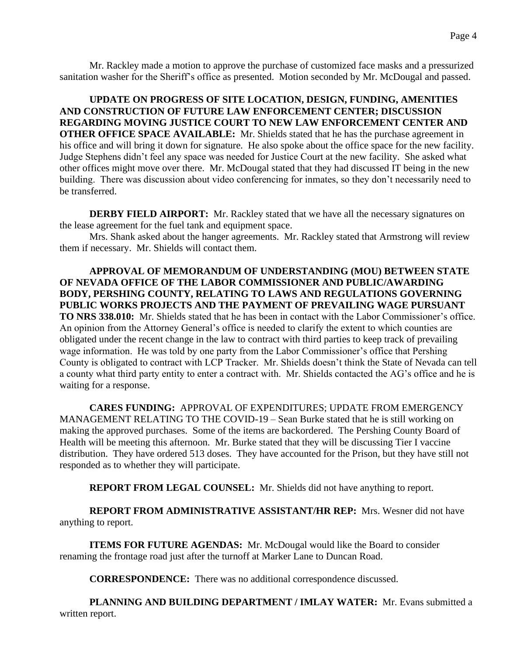Mr. Rackley made a motion to approve the purchase of customized face masks and a pressurized sanitation washer for the Sheriff's office as presented. Motion seconded by Mr. McDougal and passed.

**UPDATE ON PROGRESS OF SITE LOCATION, DESIGN, FUNDING, AMENITIES AND CONSTRUCTION OF FUTURE LAW ENFORCEMENT CENTER; DISCUSSION REGARDING MOVING JUSTICE COURT TO NEW LAW ENFORCEMENT CENTER AND OTHER OFFICE SPACE AVAILABLE:** Mr. Shields stated that he has the purchase agreement in his office and will bring it down for signature. He also spoke about the office space for the new facility. Judge Stephens didn't feel any space was needed for Justice Court at the new facility. She asked what other offices might move over there. Mr. McDougal stated that they had discussed IT being in the new building. There was discussion about video conferencing for inmates, so they don't necessarily need to be transferred.

**DERBY FIELD AIRPORT:** Mr. Rackley stated that we have all the necessary signatures on the lease agreement for the fuel tank and equipment space.

Mrs. Shank asked about the hanger agreements. Mr. Rackley stated that Armstrong will review them if necessary. Mr. Shields will contact them.

**APPROVAL OF MEMORANDUM OF UNDERSTANDING (MOU) BETWEEN STATE OF NEVADA OFFICE OF THE LABOR COMMISSIONER AND PUBLIC/AWARDING BODY, PERSHING COUNTY, RELATING TO LAWS AND REGULATIONS GOVERNING PUBLIC WORKS PROJECTS AND THE PAYMENT OF PREVAILING WAGE PURSUANT TO NRS 338.010:** Mr. Shields stated that he has been in contact with the Labor Commissioner's office. An opinion from the Attorney General's office is needed to clarify the extent to which counties are obligated under the recent change in the law to contract with third parties to keep track of prevailing wage information. He was told by one party from the Labor Commissioner's office that Pershing County is obligated to contract with LCP Tracker. Mr. Shields doesn't think the State of Nevada can tell a county what third party entity to enter a contract with. Mr. Shields contacted the AG's office and he is waiting for a response.

**CARES FUNDING:** APPROVAL OF EXPENDITURES; UPDATE FROM EMERGENCY MANAGEMENT RELATING TO THE COVID-19 – Sean Burke stated that he is still working on making the approved purchases. Some of the items are backordered. The Pershing County Board of Health will be meeting this afternoon. Mr. Burke stated that they will be discussing Tier I vaccine distribution. They have ordered 513 doses. They have accounted for the Prison, but they have still not responded as to whether they will participate.

**REPORT FROM LEGAL COUNSEL:** Mr. Shields did not have anything to report.

**REPORT FROM ADMINISTRATIVE ASSISTANT/HR REP:** Mrs. Wesner did not have anything to report.

**ITEMS FOR FUTURE AGENDAS:** Mr. McDougal would like the Board to consider renaming the frontage road just after the turnoff at Marker Lane to Duncan Road.

**CORRESPONDENCE:** There was no additional correspondence discussed.

**PLANNING AND BUILDING DEPARTMENT / IMLAY WATER:** Mr. Evans submitted a written report.